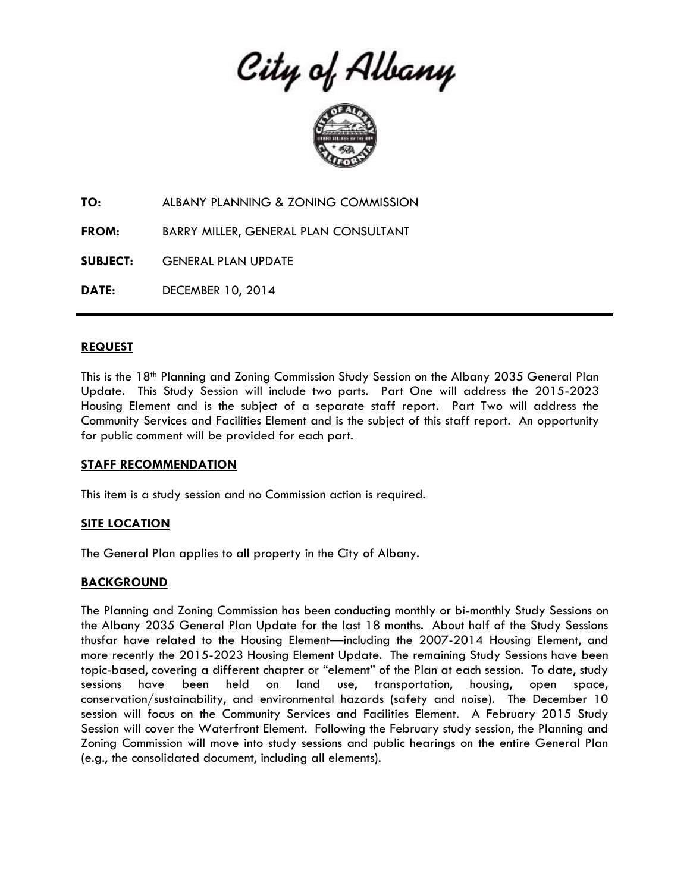City of Albany



**TO:** ALBANY PLANNING & ZONING COMMISSION

**FROM:** BARRY MILLER, GENERAL PLAN CONSULTANT

**SUBJECT:** GENERAL PLAN UPDATE

**DATE:** DECEMBER 10, 2014

#### **REQUEST**

This is the 18th Planning and Zoning Commission Study Session on the Albany 2035 General Plan Update. This Study Session will include two parts. Part One will address the 2015-2023 Housing Element and is the subject of a separate staff report. Part Two will address the Community Services and Facilities Element and is the subject of this staff report. An opportunity for public comment will be provided for each part.

#### **STAFF RECOMMENDATION**

This item is a study session and no Commission action is required.

### **SITE LOCATION**

The General Plan applies to all property in the City of Albany.

### **BACKGROUND**

The Planning and Zoning Commission has been conducting monthly or bi-monthly Study Sessions on the Albany 2035 General Plan Update for the last 18 months. About half of the Study Sessions thusfar have related to the Housing Element—including the 2007-2014 Housing Element, and more recently the 2015-2023 Housing Element Update. The remaining Study Sessions have been topic-based, covering a different chapter or "element" of the Plan at each session. To date, study sessions have been held on land use, transportation, housing, open space, conservation/sustainability, and environmental hazards (safety and noise). The December 10 session will focus on the Community Services and Facilities Element. A February 2015 Study Session will cover the Waterfront Element. Following the February study session, the Planning and Zoning Commission will move into study sessions and public hearings on the entire General Plan (e.g., the consolidated document, including all elements).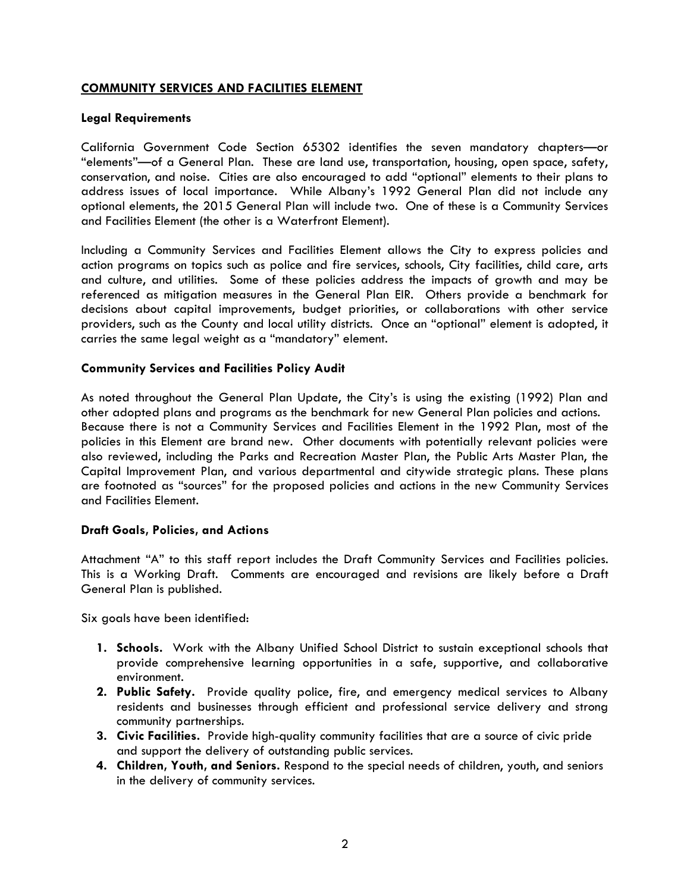#### **COMMUNITY SERVICES AND FACILITIES ELEMENT**

#### **Legal Requirements**

California Government Code Section 65302 identifies the seven mandatory chapters—or "elements"—of a General Plan. These are land use, transportation, housing, open space, safety, conservation, and noise. Cities are also encouraged to add "optional" elements to their plans to address issues of local importance. While Albany's 1992 General Plan did not include any optional elements, the 2015 General Plan will include two. One of these is a Community Services and Facilities Element (the other is a Waterfront Element).

Including a Community Services and Facilities Element allows the City to express policies and action programs on topics such as police and fire services, schools, City facilities, child care, arts and culture, and utilities. Some of these policies address the impacts of growth and may be referenced as mitigation measures in the General Plan EIR. Others provide a benchmark for decisions about capital improvements, budget priorities, or collaborations with other service providers, such as the County and local utility districts. Once an "optional" element is adopted, it carries the same legal weight as a "mandatory" element.

#### **Community Services and Facilities Policy Audit**

As noted throughout the General Plan Update, the City's is using the existing (1992) Plan and other adopted plans and programs as the benchmark for new General Plan policies and actions. Because there is not a Community Services and Facilities Element in the 1992 Plan, most of the policies in this Element are brand new. Other documents with potentially relevant policies were also reviewed, including the Parks and Recreation Master Plan, the Public Arts Master Plan, the Capital Improvement Plan, and various departmental and citywide strategic plans. These plans are footnoted as "sources" for the proposed policies and actions in the new Community Services and Facilities Element.

#### **Draft Goals, Policies, and Actions**

Attachment "A" to this staff report includes the Draft Community Services and Facilities policies. This is a Working Draft. Comments are encouraged and revisions are likely before a Draft General Plan is published.

Six goals have been identified:

- **1. Schools.** Work with the Albany Unified School District to sustain exceptional schools that provide comprehensive learning opportunities in a safe, supportive, and collaborative environment.
- **2. Public Safety.** Provide quality police, fire, and emergency medical services to Albany residents and businesses through efficient and professional service delivery and strong community partnerships.
- **3. Civic Facilities.** Provide high-quality community facilities that are a source of civic pride and support the delivery of outstanding public services.
- **4. Children, Youth, and Seniors.** Respond to the special needs of children, youth, and seniors in the delivery of community services.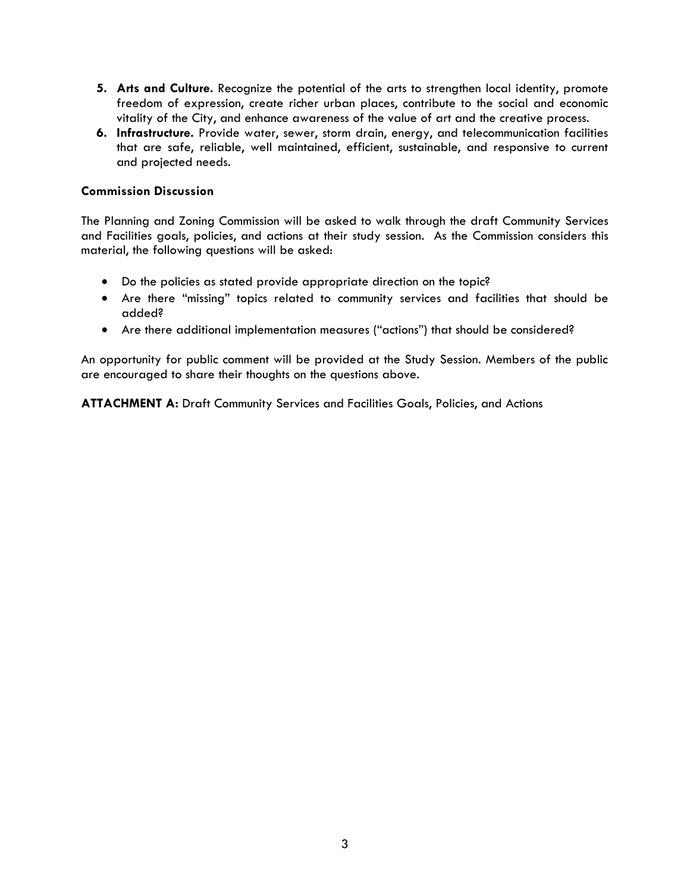- **5. Arts and Culture.** Recognize the potential of the arts to strengthen local identity, promote freedom of expression, create richer urban places, contribute to the social and economic vitality of the City, and enhance awareness of the value of art and the creative process.
- **6. Infrastructure.** Provide water, sewer, storm drain, energy, and telecommunication facilities that are safe, reliable, well maintained, efficient, sustainable, and responsive to current and projected needs.

#### **Commission Discussion**

The Planning and Zoning Commission will be asked to walk through the draft Community Services and Facilities goals, policies, and actions at their study session. As the Commission considers this material, the following questions will be asked:

- Do the policies as stated provide appropriate direction on the topic?
- Are there "missing" topics related to community services and facilities that should be added?
- Are there additional implementation measures ("actions") that should be considered?

An opportunity for public comment will be provided at the Study Session. Members of the public are encouraged to share their thoughts on the questions above.

**ATTACHMENT A:** Draft Community Services and Facilities Goals, Policies, and Actions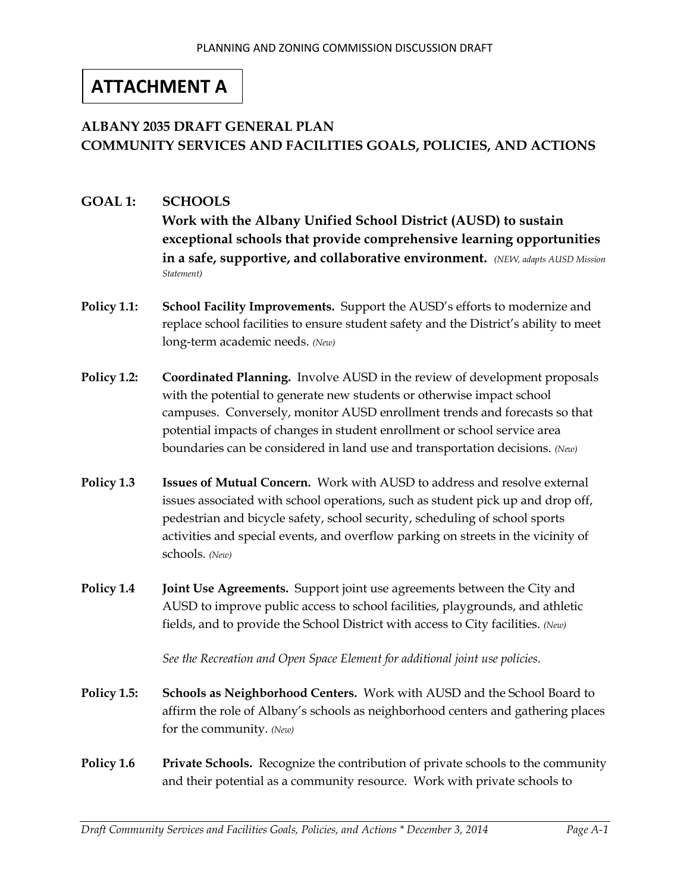# **ATTACHMENT A**

# **ALBANY 2035 DRAFT GENERAL PLAN COMMUNITY SERVICES AND FACILITIES GOALS, POLICIES, AND ACTIONS**

- **GOAL 1: SCHOOLS Work with the Albany Unified School District (AUSD) to sustain exceptional schools that provide comprehensive learning opportunities in a safe, supportive, and collaborative environment.** *(NEW, adapts AUSD Mission Statement)*
- **Policy 1.1: School Facility Improvements.** Support the AUSD's efforts to modernize and replace school facilities to ensure student safety and the District's ability to meet long-term academic needs. *(New)*
- **Policy 1.2: Coordinated Planning.** Involve AUSD in the review of development proposals with the potential to generate new students or otherwise impact school campuses. Conversely, monitor AUSD enrollment trends and forecasts so that potential impacts of changes in student enrollment or school service area boundaries can be considered in land use and transportation decisions. *(New)*
- **Policy 1.3 Issues of Mutual Concern.** Work with AUSD to address and resolve external issues associated with school operations, such as student pick up and drop off, pedestrian and bicycle safety, school security, scheduling of school sports activities and special events, and overflow parking on streets in the vicinity of schools. *(New)*
- **Policy 1.4 Joint Use Agreements.** Support joint use agreements between the City and AUSD to improve public access to school facilities, playgrounds, and athletic fields, and to provide the School District with access to City facilities. *(New)*

*See the Recreation and Open Space Element for additional joint use policies.*

- **Policy 1.5: Schools as Neighborhood Centers.** Work with AUSD and the School Board to affirm the role of Albany's schools as neighborhood centers and gathering places for the community. *(New)*
- **Policy 1.6 Private Schools.** Recognize the contribution of private schools to the community and their potential as a community resource. Work with private schools to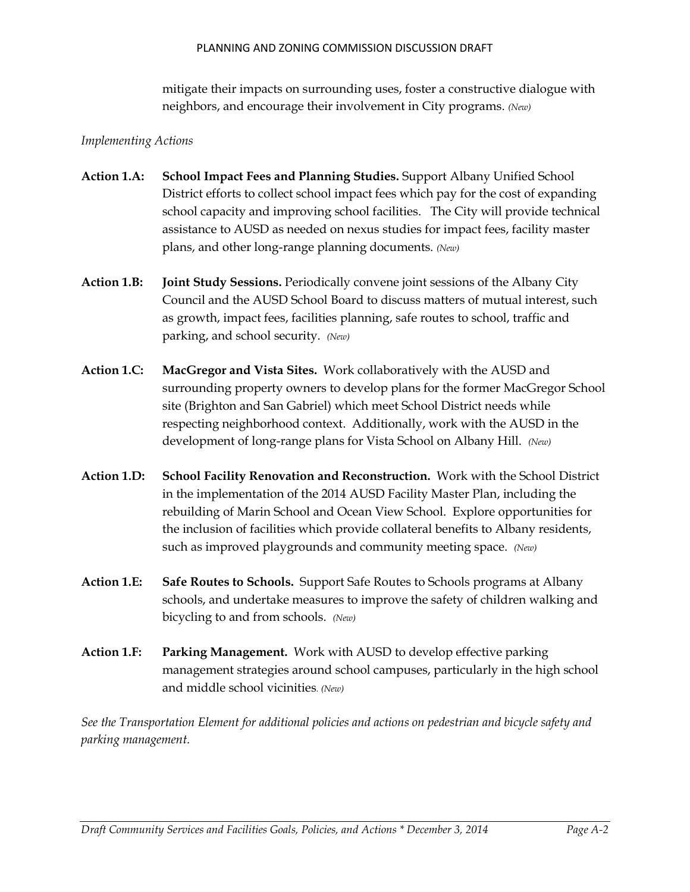#### PLANNING AND ZONING COMMISSION DISCUSSION DRAFT

mitigate their impacts on surrounding uses, foster a constructive dialogue with neighbors, and encourage their involvement in City programs. *(New)*

### *Implementing Actions*

- **Action 1.A: School Impact Fees and Planning Studies.** Support Albany Unified School District efforts to collect school impact fees which pay for the cost of expanding school capacity and improving school facilities. The City will provide technical assistance to AUSD as needed on nexus studies for impact fees, facility master plans, and other long-range planning documents. *(New)*
- **Action 1.B: Joint Study Sessions.** Periodically convene joint sessions of the Albany City Council and the AUSD School Board to discuss matters of mutual interest, such as growth, impact fees, facilities planning, safe routes to school, traffic and parking, and school security. *(New)*
- **Action 1.C: MacGregor and Vista Sites.** Work collaboratively with the AUSD and surrounding property owners to develop plans for the former MacGregor School site (Brighton and San Gabriel) which meet School District needs while respecting neighborhood context. Additionally, work with the AUSD in the development of long-range plans for Vista School on Albany Hill. *(New)*
- **Action 1.D: School Facility Renovation and Reconstruction.** Work with the School District in the implementation of the 2014 AUSD Facility Master Plan, including the rebuilding of Marin School and Ocean View School. Explore opportunities for the inclusion of facilities which provide collateral benefits to Albany residents, such as improved playgrounds and community meeting space. *(New)*
- **Action 1.E: Safe Routes to Schools.** Support Safe Routes to Schools programs at Albany schools, and undertake measures to improve the safety of children walking and bicycling to and from schools. *(New)*
- **Action 1.F: Parking Management.** Work with AUSD to develop effective parking management strategies around school campuses, particularly in the high school and middle school vicinities*. (New)*

*See the Transportation Element for additional policies and actions on pedestrian and bicycle safety and parking management.*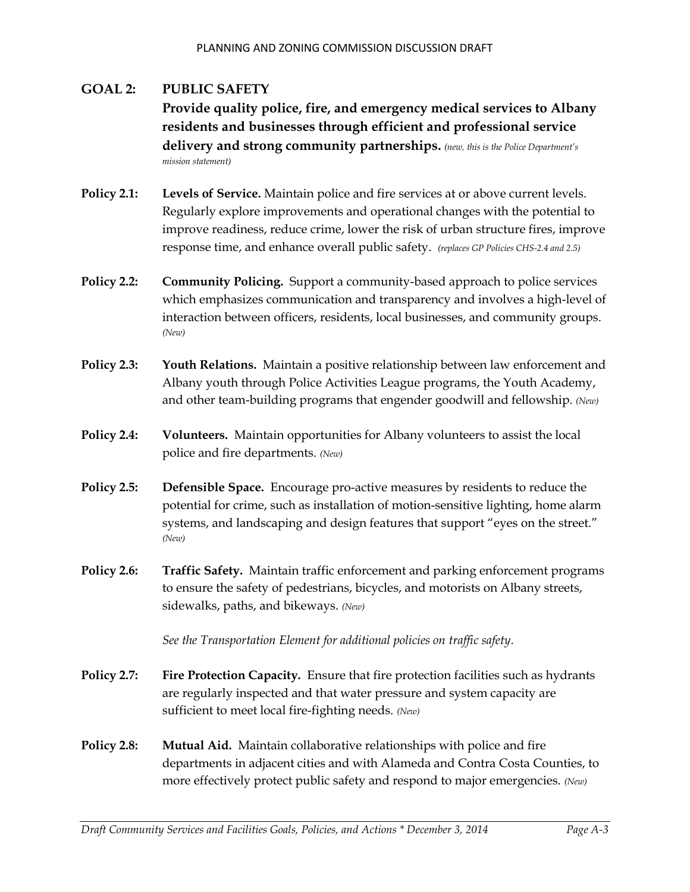### **GOAL 2: PUBLIC SAFETY Provide quality police, fire, and emergency medical services to Albany residents and businesses through efficient and professional service delivery and strong community partnerships.** *(new, this is the Police Department's mission statement)*

- **Policy 2.1: Levels of Service.** Maintain police and fire services at or above current levels. Regularly explore improvements and operational changes with the potential to improve readiness, reduce crime, lower the risk of urban structure fires, improve response time, and enhance overall public safety.*(replaces GP Policies CHS-2.4 and 2.5)*
- **Policy 2.2: Community Policing.** Support a community-based approach to police services which emphasizes communication and transparency and involves a high-level of interaction between officers, residents, local businesses, and community groups. *(New)*
- **Policy 2.3: Youth Relations.** Maintain a positive relationship between law enforcement and Albany youth through Police Activities League programs, the Youth Academy, and other team-building programs that engender goodwill and fellowship. *(New)*
- **Policy 2.4: Volunteers.** Maintain opportunities for Albany volunteers to assist the local police and fire departments. *(New)*
- **Policy 2.5: Defensible Space.** Encourage pro-active measures by residents to reduce the potential for crime, such as installation of motion-sensitive lighting, home alarm systems, and landscaping and design features that support "eyes on the street." *(New)*
- **Policy 2.6: Traffic Safety.** Maintain traffic enforcement and parking enforcement programs to ensure the safety of pedestrians, bicycles, and motorists on Albany streets, sidewalks, paths, and bikeways. *(New)*

*See the Transportation Element for additional policies on traffic safety.*

- **Policy 2.7: Fire Protection Capacity.** Ensure that fire protection facilities such as hydrants are regularly inspected and that water pressure and system capacity are sufficient to meet local fire-fighting needs. *(New)*
- **Policy 2.8: Mutual Aid.** Maintain collaborative relationships with police and fire departments in adjacent cities and with Alameda and Contra Costa Counties, to more effectively protect public safety and respond to major emergencies. *(New)*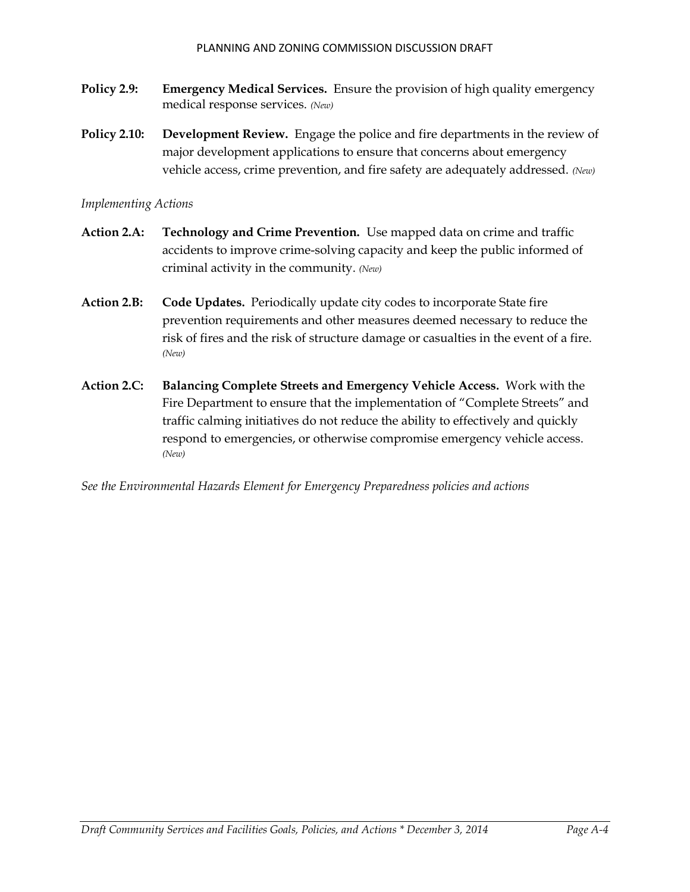- **Policy 2.9: Emergency Medical Services.** Ensure the provision of high quality emergency medical response services. *(New)*
- **Policy 2.10: Development Review.** Engage the police and fire departments in the review of major development applications to ensure that concerns about emergency vehicle access, crime prevention, and fire safety are adequately addressed. *(New)*

#### *Implementing Actions*

- **Action 2.A: Technology and Crime Prevention.** Use mapped data on crime and traffic accidents to improve crime-solving capacity and keep the public informed of criminal activity in the community. *(New)*
- **Action 2.B: Code Updates.** Periodically update city codes to incorporate State fire prevention requirements and other measures deemed necessary to reduce the risk of fires and the risk of structure damage or casualties in the event of a fire. *(New)*
- **Action 2.C: Balancing Complete Streets and Emergency Vehicle Access.** Work with the Fire Department to ensure that the implementation of "Complete Streets" and traffic calming initiatives do not reduce the ability to effectively and quickly respond to emergencies, or otherwise compromise emergency vehicle access. *(New)*

*See the Environmental Hazards Element for Emergency Preparedness policies and actions*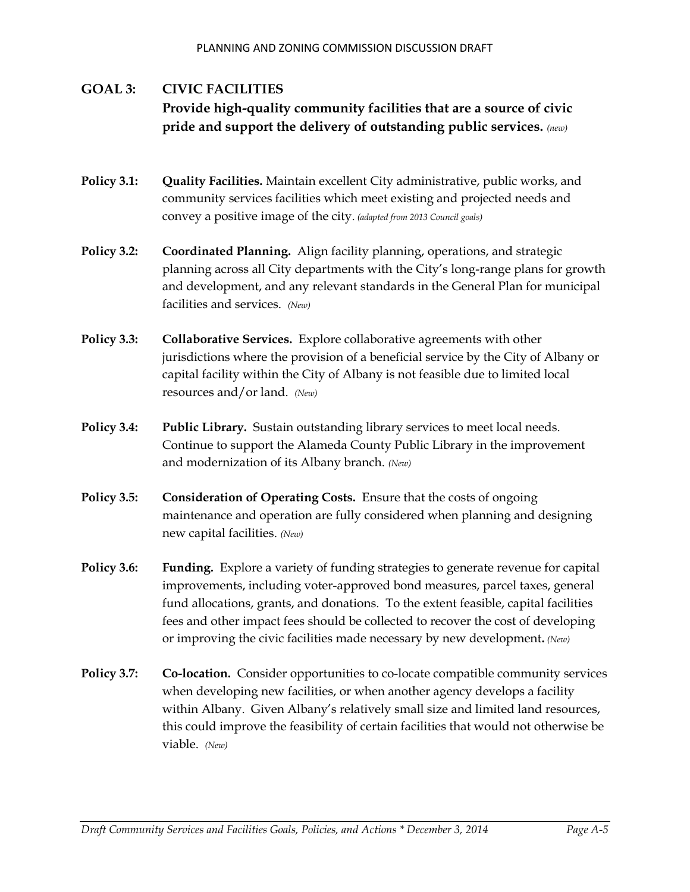# **GOAL 3: CIVIC FACILITIES Provide high-quality community facilities that are a source of civic pride and support the delivery of outstanding public services.** *(new)*

- **Policy 3.1: Quality Facilities.** Maintain excellent City administrative, public works, and community services facilities which meet existing and projected needs and convey a positive image of the city. *(adapted from 2013 Council goals)*
- **Policy 3.2: Coordinated Planning.** Align facility planning, operations, and strategic planning across all City departments with the City's long-range plans for growth and development, and any relevant standards in the General Plan for municipal facilities and services. *(New)*
- **Policy 3.3: Collaborative Services.** Explore collaborative agreements with other jurisdictions where the provision of a beneficial service by the City of Albany or capital facility within the City of Albany is not feasible due to limited local resources and/or land.*(New)*
- **Policy 3.4: Public Library.** Sustain outstanding library services to meet local needs. Continue to support the Alameda County Public Library in the improvement and modernization of its Albany branch. *(New)*
- **Policy 3.5: Consideration of Operating Costs.** Ensure that the costs of ongoing maintenance and operation are fully considered when planning and designing new capital facilities. *(New)*
- **Policy 3.6: Funding.** Explore a variety of funding strategies to generate revenue for capital improvements, including voter-approved bond measures, parcel taxes, general fund allocations, grants, and donations. To the extent feasible, capital facilities fees and other impact fees should be collected to recover the cost of developing or improving the civic facilities made necessary by new development**.** *(New)*
- **Policy 3.7: Co-location.** Consider opportunities to co-locate compatible community services when developing new facilities, or when another agency develops a facility within Albany. Given Albany's relatively small size and limited land resources, this could improve the feasibility of certain facilities that would not otherwise be viable. *(New)*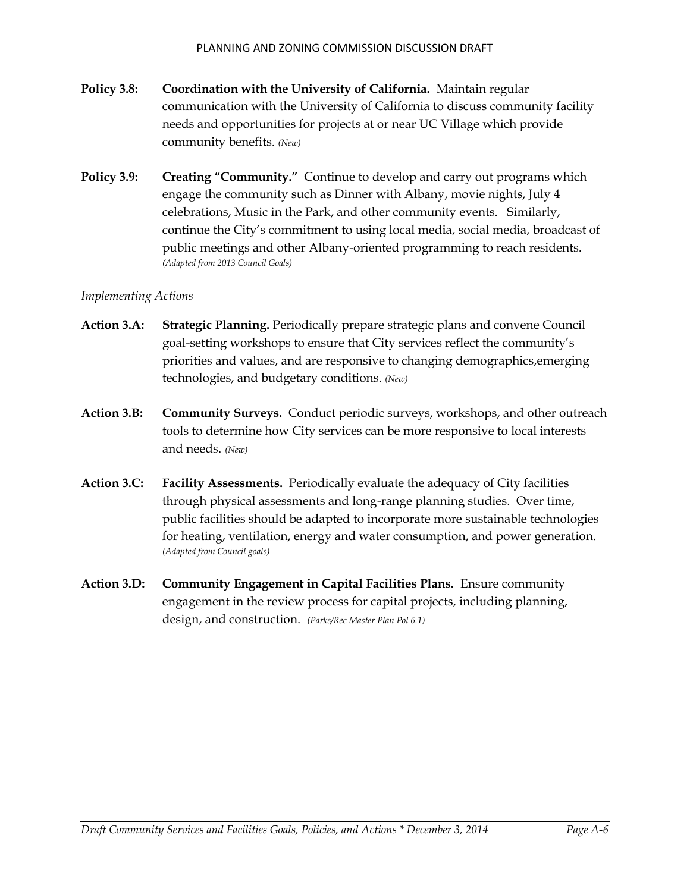- **Policy 3.8: Coordination with the University of California.** Maintain regular communication with the University of California to discuss community facility needs and opportunities for projects at or near UC Village which provide community benefits. *(New)*
- **Policy 3.9: Creating "Community."** Continue to develop and carry out programs which engage the community such as Dinner with Albany, movie nights, July 4 celebrations, Music in the Park, and other community events. Similarly, continue the City's commitment to using local media, social media, broadcast of public meetings and other Albany-oriented programming to reach residents. *(Adapted from 2013 Council Goals)*

#### *Implementing Actions*

- **Action 3.A: Strategic Planning.** Periodically prepare strategic plans and convene Council goal-setting workshops to ensure that City services reflect the community's priorities and values, and are responsive to changing demographics,emerging technologies, and budgetary conditions. *(New)*
- **Action 3.B: Community Surveys.** Conduct periodic surveys, workshops, and other outreach tools to determine how City services can be more responsive to local interests and needs. *(New)*
- **Action 3.C: Facility Assessments.** Periodically evaluate the adequacy of City facilities through physical assessments and long-range planning studies. Over time, public facilities should be adapted to incorporate more sustainable technologies for heating, ventilation, energy and water consumption, and power generation. *(Adapted from Council goals)*
- **Action 3.D: Community Engagement in Capital Facilities Plans.** Ensure community engagement in the review process for capital projects, including planning, design, and construction.*(Parks/Rec Master Plan Pol 6.1)*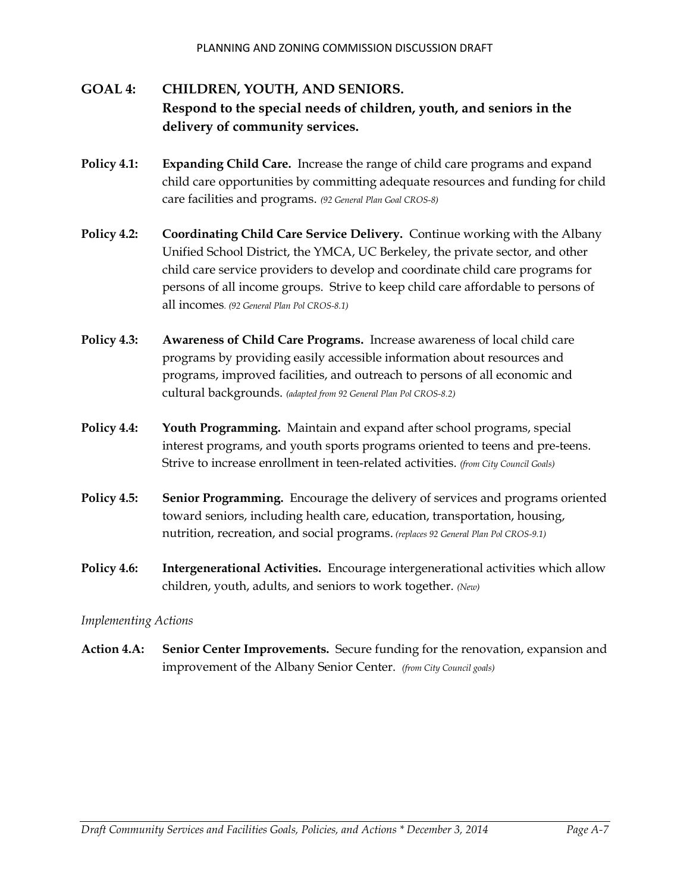# **GOAL 4: CHILDREN, YOUTH, AND SENIORS. Respond to the special needs of children, youth, and seniors in the delivery of community services.**

- **Policy 4.1: Expanding Child Care.** Increase the range of child care programs and expand child care opportunities by committing adequate resources and funding for child care facilities and programs. *(92 General Plan Goal CROS-8)*
- **Policy 4.2: Coordinating Child Care Service Delivery.** Continue working with the Albany Unified School District, the YMCA, UC Berkeley, the private sector, and other child care service providers to develop and coordinate child care programs for persons of all income groups. Strive to keep child care affordable to persons of all incomes*. (92 General Plan Pol CROS-8.1)*
- **Policy 4.3: Awareness of Child Care Programs.** Increase awareness of local child care programs by providing easily accessible information about resources and programs, improved facilities, and outreach to persons of all economic and cultural backgrounds. *(adapted from 92 General Plan Pol CROS-8.2)*
- **Policy 4.4: Youth Programming.** Maintain and expand after school programs, special interest programs, and youth sports programs oriented to teens and pre-teens. Strive to increase enrollment in teen-related activities. *(from City Council Goals)*
- **Policy 4.5: Senior Programming.** Encourage the delivery of services and programs oriented toward seniors, including health care, education, transportation, housing, nutrition, recreation, and social programs. *(replaces 92 General Plan Pol CROS-9.1)*
- **Policy 4.6: Intergenerational Activities.** Encourage intergenerational activities which allow children, youth, adults, and seniors to work together. *(New)*

### *Implementing Actions*

**Action 4.A: Senior Center Improvements.** Secure funding for the renovation, expansion and improvement of the Albany Senior Center. *(from City Council goals)*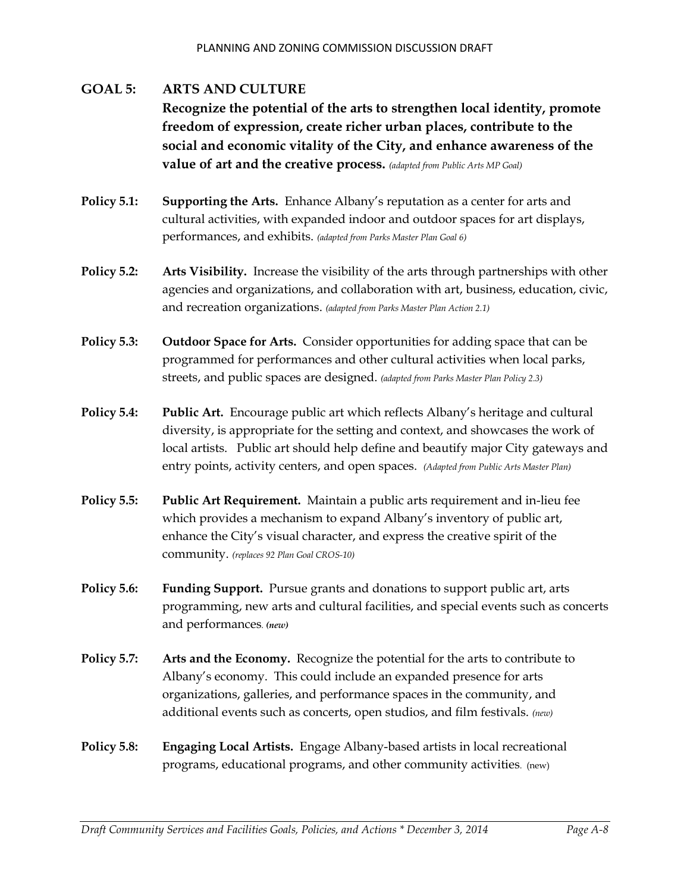# **GOAL 5: ARTS AND CULTURE Recognize the potential of the arts to strengthen local identity, promote freedom of expression, create richer urban places, contribute to the social and economic vitality of the City, and enhance awareness of the value of art and the creative process.** *(adapted from Public Arts MP Goal)*

- **Policy 5.1: Supporting the Arts.** Enhance Albany's reputation as a center for arts and cultural activities, with expanded indoor and outdoor spaces for art displays, performances, and exhibits. *(adapted from Parks Master Plan Goal 6)*
- **Policy 5.2: Arts Visibility.** Increase the visibility of the arts through partnerships with other agencies and organizations, and collaboration with art, business, education, civic, and recreation organizations. *(adapted from Parks Master Plan Action 2.1)*
- **Policy 5.3: Outdoor Space for Arts.** Consider opportunities for adding space that can be programmed for performances and other cultural activities when local parks, streets, and public spaces are designed. *(adapted from Parks Master Plan Policy 2.3)*
- **Policy 5.4: Public Art.** Encourage public art which reflects Albany's heritage and cultural diversity, is appropriate for the setting and context, and showcases the work of local artists. Public art should help define and beautify major City gateways and entry points, activity centers, and open spaces. *(Adapted from Public Arts Master Plan)*
- **Policy 5.5: Public Art Requirement.** Maintain a public arts requirement and in-lieu fee which provides a mechanism to expand Albany's inventory of public art, enhance the City's visual character, and express the creative spirit of the community. *(replaces 92 Plan Goal CROS-10)*
- **Policy 5.6: Funding Support.** Pursue grants and donations to support public art, arts programming, new arts and cultural facilities, and special events such as concerts and performances*. (new)*
- **Policy 5.7: Arts and the Economy.** Recognize the potential for the arts to contribute to Albany's economy. This could include an expanded presence for arts organizations, galleries, and performance spaces in the community, and additional events such as concerts, open studios, and film festivals. *(new)*
- **Policy 5.8: Engaging Local Artists.** Engage Albany-based artists in local recreational programs, educational programs, and other community activities. (new)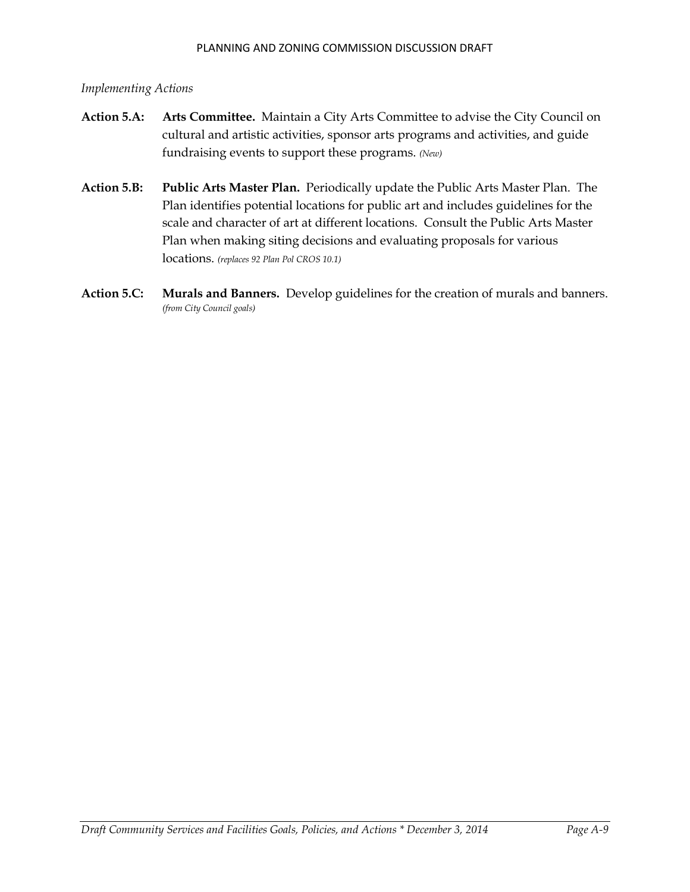### *Implementing Actions*

- **Action 5.A: Arts Committee.** Maintain a City Arts Committee to advise the City Council on cultural and artistic activities, sponsor arts programs and activities, and guide fundraising events to support these programs. *(New)*
- **Action 5.B: Public Arts Master Plan.** Periodically update the Public Arts Master Plan. The Plan identifies potential locations for public art and includes guidelines for the scale and character of art at different locations. Consult the Public Arts Master Plan when making siting decisions and evaluating proposals for various locations. *(replaces 92 Plan Pol CROS 10.1)*
- **Action 5.C: Murals and Banners.** Develop guidelines for the creation of murals and banners. *(from City Council goals)*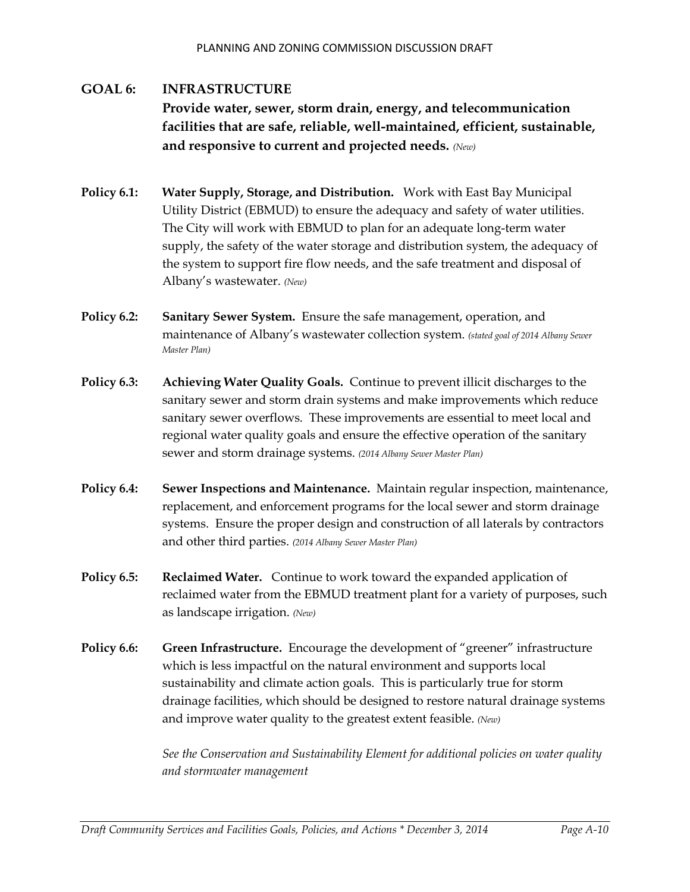# **GOAL 6: INFRASTRUCTURE Provide water, sewer, storm drain, energy, and telecommunication facilities that are safe, reliable, well-maintained, efficient, sustainable, and responsive to current and projected needs.** *(New)*

- **Policy 6.1: Water Supply, Storage, and Distribution.** Work with East Bay Municipal Utility District (EBMUD) to ensure the adequacy and safety of water utilities. The City will work with EBMUD to plan for an adequate long-term water supply, the safety of the water storage and distribution system, the adequacy of the system to support fire flow needs, and the safe treatment and disposal of Albany's wastewater. *(New)*
- **Policy 6.2: Sanitary Sewer System.** Ensure the safe management, operation, and maintenance of Albany's wastewater collection system. *(stated goal of 2014 Albany Sewer Master Plan)*
- **Policy 6.3: Achieving Water Quality Goals.** Continue to prevent illicit discharges to the sanitary sewer and storm drain systems and make improvements which reduce sanitary sewer overflows. These improvements are essential to meet local and regional water quality goals and ensure the effective operation of the sanitary sewer and storm drainage systems. *(2014 Albany Sewer Master Plan)*
- **Policy 6.4: Sewer Inspections and Maintenance.** Maintain regular inspection, maintenance, replacement, and enforcement programs for the local sewer and storm drainage systems. Ensure the proper design and construction of all laterals by contractors and other third parties. *(2014 Albany Sewer Master Plan)*
- **Policy 6.5: Reclaimed Water.** Continue to work toward the expanded application of reclaimed water from the EBMUD treatment plant for a variety of purposes, such as landscape irrigation. *(New)*
- **Policy 6.6: Green Infrastructure.** Encourage the development of "greener" infrastructure which is less impactful on the natural environment and supports local sustainability and climate action goals. This is particularly true for storm drainage facilities, which should be designed to restore natural drainage systems and improve water quality to the greatest extent feasible. *(New)*

*See the Conservation and Sustainability Element for additional policies on water quality and stormwater management*